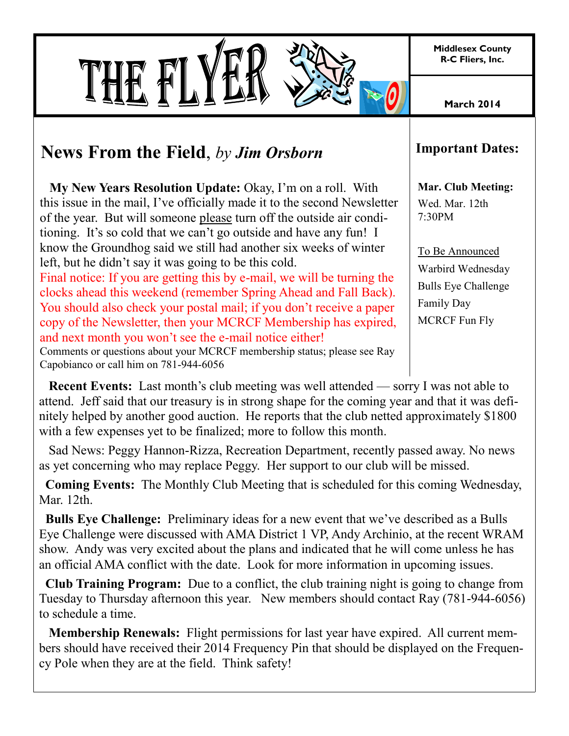**Middlesex County R-C Fliers, Inc.**

**March 2014**

## **News From the Field**, *by Jim Orsborn*

 **My New Years Resolution Update:** Okay, I'm on a roll. With this issue in the mail, I've officially made it to the second Newsletter of the year. But will someone please turn off the outside air conditioning. It's so cold that we can't go outside and have any fun! I know the Groundhog said we still had another six weeks of winter left, but he didn't say it was going to be this cold.

Final notice: If you are getting this by e-mail, we will be turning the clocks ahead this weekend (remember Spring Ahead and Fall Back). You should also check your postal mail; if you don't receive a paper copy of the Newsletter, then your MCRCF Membership has expired, and next month you won't see the e-mail notice either!

Comments or questions about your MCRCF membership status; please see Ray Capobianco or call him on 781-944-6056

## **Important Dates:**

**Mar. Club Meeting:** Wed. Mar. 12th 7:30PM

To Be Announced Warbird Wednesday Bulls Eye Challenge Family Day MCRCF Fun Fly

 **Recent Events:** Last month's club meeting was well attended — sorry I was not able to attend. Jeff said that our treasury is in strong shape for the coming year and that it was definitely helped by another good auction. He reports that the club netted approximately \$1800 with a few expenses yet to be finalized; more to follow this month.

 Sad News: Peggy Hannon-Rizza, Recreation Department, recently passed away. No news as yet concerning who may replace Peggy. Her support to our club will be missed.

 **Coming Events:** The Monthly Club Meeting that is scheduled for this coming Wednesday, Mar. 12th.

 **Bulls Eye Challenge:** Preliminary ideas for a new event that we've described as a Bulls Eye Challenge were discussed with AMA District 1 VP, Andy Archinio, at the recent WRAM show. Andy was very excited about the plans and indicated that he will come unless he has an official AMA conflict with the date. Look for more information in upcoming issues.

 **Club Training Program:** Due to a conflict, the club training night is going to change from Tuesday to Thursday afternoon this year. New members should contact Ray (781-944-6056) to schedule a time.

 **Membership Renewals:** Flight permissions for last year have expired. All current members should have received their 2014 Frequency Pin that should be displayed on the Frequency Pole when they are at the field. Think safety!